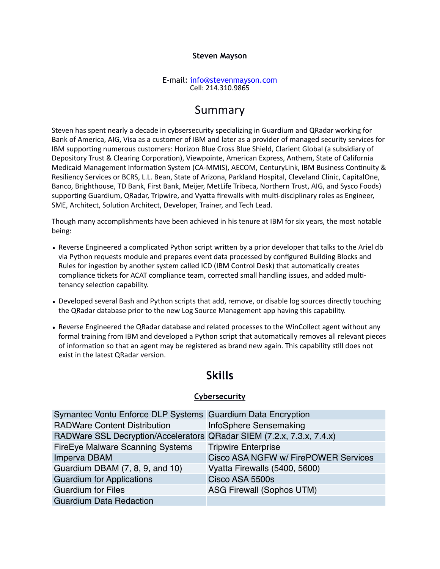#### **Steven Mayson**

#### E-mail: [info@stevenmayson.com](mailto:info@stevenmayson.com) Cell: 214.310.9865

### Summary

Steven has spent nearly a decade in cybsersecurity specializing in Guardium and QRadar working for Bank of America, AIG, Visa as a customer of IBM and later as a provider of managed security services for IBM supporting numerous customers: Horizon Blue Cross Blue Shield, Clarient Global (a subsidiary of Depository Trust & Clearing Corporation), Viewpointe, American Express, Anthem, State of California Medicaid Management Information System (CA-MMIS), AECOM, CenturyLink, IBM Business Continuity & Resiliency Services or BCRS, L.L. Bean, State of Arizona, Parkland Hospital, Cleveland Clinic, CapitalOne, Banco, Brighthouse, TD Bank, First Bank, Meijer, MetLife Tribeca, Northern Trust, AIG, and Sysco Foods) supporting Guardium, QRadar, Tripwire, and Vyatta firewalls with multi-disciplinary roles as Engineer, SME, Architect, Solution Architect, Developer, Trainer, and Tech Lead.

Though many accomplishments have been achieved in his tenure at IBM for six years, the most notable being:

- Reverse Engineered a complicated Python script written by a prior developer that talks to the Ariel db via Python requests module and prepares event data processed by configured Building Blocks and Rules for ingestion by another system called ICD (IBM Control Desk) that automatically creates compliance tickets for ACAT compliance team, corrected small handling issues, and added multitenancy selection capability.
- Developed several Bash and Python scripts that add, remove, or disable log sources directly touching the QRadar database prior to the new Log Source Management app having this capability.
- Reverse Engineered the QRadar database and related processes to the WinCollect agent without any formal training from IBM and developed a Python script that automatically removes all relevant pieces of information so that an agent may be registered as brand new again. This capability still does not exist in the latest QRadar version.

### **Skills**

#### **Cybersecurity**

| Symantec Vontu Enforce DLP Systems Guardium Data Encryption           |                                      |
|-----------------------------------------------------------------------|--------------------------------------|
| <b>RADWare Content Distribution</b>                                   | InfoSphere Sensemaking               |
| RADWare SSL Decryption/Accelerators QRadar SIEM (7.2.x, 7.3.x, 7.4.x) |                                      |
| FireEye Malware Scanning Systems                                      | <b>Tripwire Enterprise</b>           |
| Imperva DBAM                                                          | Cisco ASA NGFW w/ FirePOWER Services |
| Guardium DBAM (7, 8, 9, and 10)                                       | Vyatta Firewalls (5400, 5600)        |
| <b>Guardium for Applications</b>                                      | Cisco ASA 5500s                      |
| <b>Guardium for Files</b>                                             | <b>ASG Firewall (Sophos UTM)</b>     |
| <b>Guardium Data Redaction</b>                                        |                                      |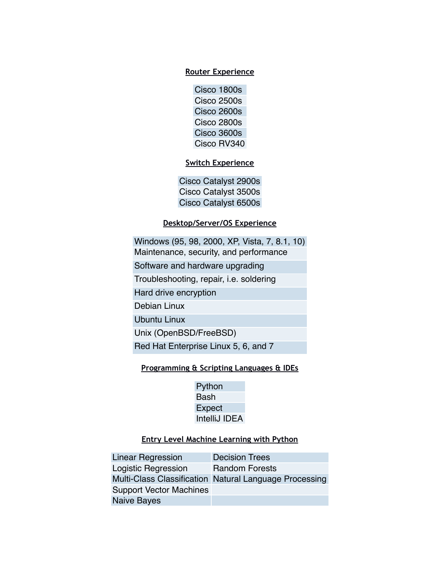#### **Router Experience**

Cisco 1800s Cisco 2500s Cisco 2600s Cisco 2800s Cisco 3600s Cisco RV340

### **Switch Experience**

Cisco Catalyst 2900s Cisco Catalyst 3500s Cisco Catalyst 6500s

#### **Desktop/Server/OS Experience**

Windows (95, 98, 2000, XP, Vista, 7, 8.1, 10) Maintenance, security, and performance

Software and hardware upgrading

Troubleshooting, repair, i.e. soldering

Hard drive encryption

Debian Linux

Ubuntu Linux

Unix (OpenBSD/FreeBSD)

Red Hat Enterprise Linux 5, 6, and 7

#### **Programming & Scripting Languages & IDEs**

Python Bash Expect IntelliJ IDEA

### **Entry Level Machine Learning with Python**

| <b>Linear Regression</b>       | <b>Decision Trees</b>                                  |
|--------------------------------|--------------------------------------------------------|
| Logistic Regression            | <b>Random Forests</b>                                  |
|                                | Multi-Class Classification Natural Language Processing |
| <b>Support Vector Machines</b> |                                                        |
| Naive Bayes                    |                                                        |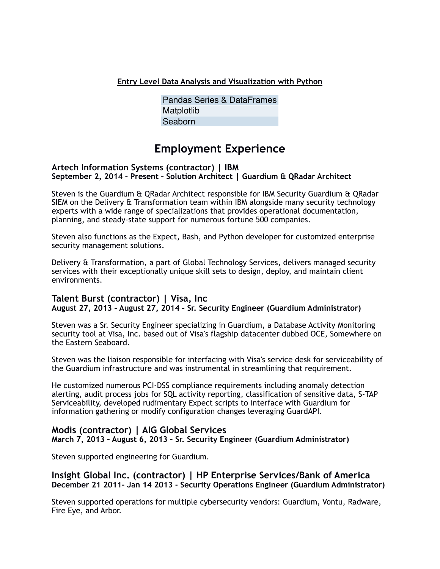**Entry Level Data Analysis and Visualization with Python**

Pandas Series & DataFrames Matplotlib Seaborn

### **Employment Experience**

#### **Artech Information Systems (contractor) | IBM September 2, 2014 – Present – Solution Architect | Guardium & QRadar Architect**

Steven is the Guardium & QRadar Architect responsible for IBM Security Guardium & QRadar SIEM on the Delivery & Transformation team within IBM alongside many security technology experts with a wide range of specializations that provides operational documentation, planning, and steady-state support for numerous fortune 500 companies.

Steven also functions as the Expect, Bash, and Python developer for customized enterprise security management solutions.

Delivery & Transformation, a part of Global Technology Services, delivers managed security services with their exceptionally unique skill sets to design, deploy, and maintain client environments.

### **Talent Burst (contractor) | Visa, Inc August 27, 2013 – August 27, 2014 – Sr. Security Engineer (Guardium Administrator)**

Steven was a Sr. Security Engineer specializing in Guardium, a Database Activity Monitoring security tool at Visa, Inc. based out of Visa's flagship datacenter dubbed OCE, Somewhere on the Eastern Seaboard.

Steven was the liaison responsible for interfacing with Visa's service desk for serviceability of the Guardium infrastructure and was instrumental in streamlining that requirement.

He customized numerous PCI-DSS compliance requirements including anomaly detection alerting, audit process jobs for SQL activity reporting, classification of sensitive data, S-TAP Serviceability, developed rudimentary Expect scripts to interface with Guardium for information gathering or modify configuration changes leveraging GuardAPI.

### **Modis (contractor) | AIG Global Services**

**March 7, 2013 – August 6, 2013 – Sr. Security Engineer (Guardium Administrator)** 

Steven supported engineering for Guardium.

#### **Insight Global Inc. (contractor) | HP Enterprise Services/Bank of America December 21 2011- Jan 14 2013 - Security Operations Engineer (Guardium Administrator)**

Steven supported operations for multiple cybersecurity vendors: Guardium, Vontu, Radware, Fire Eye, and Arbor.